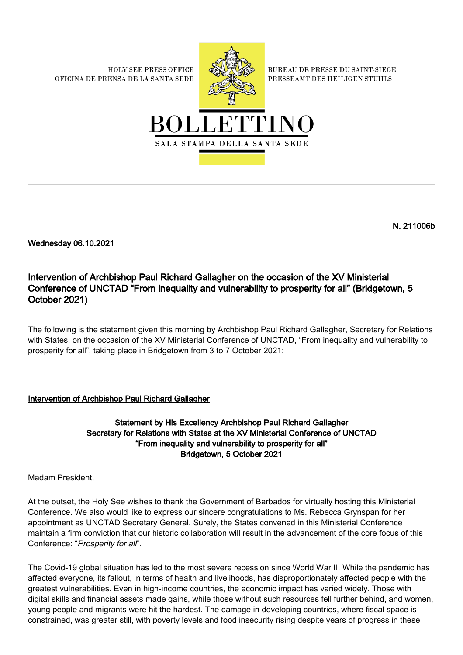**HOLY SEE PRESS OFFICE** OFICINA DE PRENSA DE LA SANTA SEDE



**BUREAU DE PRESSE DU SAINT-SIEGE** PRESSEAMT DES HEILIGEN STUHLS



N. 211006b

Wednesday 06.10.2021

## Intervention of Archbishop Paul Richard Gallagher on the occasion of the XV Ministerial Conference of UNCTAD "From inequality and vulnerability to prosperity for all" (Bridgetown, 5 October 2021)

The following is the statement given this morning by Archbishop Paul Richard Gallagher, Secretary for Relations with States, on the occasion of the XV Ministerial Conference of UNCTAD, "From inequality and vulnerability to prosperity for all", taking place in Bridgetown from 3 to 7 October 2021:

## Intervention of Archbishop Paul Richard Gallagher

Statement by His Excellency Archbishop Paul Richard Gallagher Secretary for Relations with States at the XV Ministerial Conference of UNCTAD "From inequality and vulnerability to prosperity for all" Bridgetown, 5 October 2021

Madam President,

At the outset, the Holy See wishes to thank the Government of Barbados for virtually hosting this Ministerial Conference. We also would like to express our sincere congratulations to Ms. Rebecca Grynspan for her appointment as UNCTAD Secretary General. Surely, the States convened in this Ministerial Conference maintain a firm conviction that our historic collaboration will result in the advancement of the core focus of this Conference: "Prosperity for all".

The Covid-19 global situation has led to the most severe recession since World War II. While the pandemic has affected everyone, its fallout, in terms of health and livelihoods, has disproportionately affected people with the greatest vulnerabilities. Even in high-income countries, the economic impact has varied widely. Those with digital skills and financial assets made gains, while those without such resources fell further behind, and women, young people and migrants were hit the hardest. The damage in developing countries, where fiscal space is constrained, was greater still, with poverty levels and food insecurity rising despite years of progress in these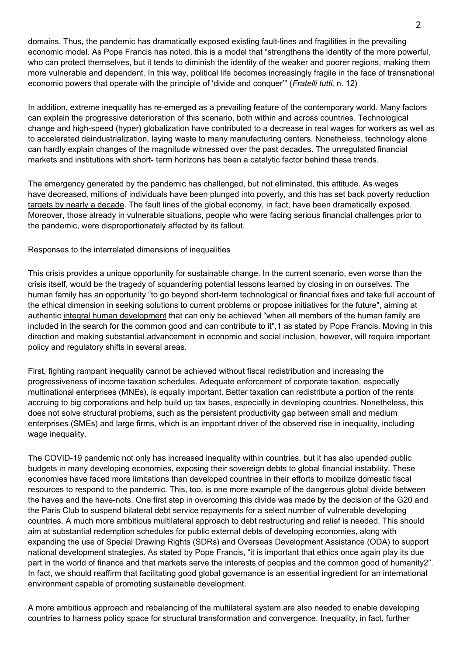domains. Thus, the pandemic has dramatically exposed existing fault-lines and fragilities in the prevailing economic model. As Pope Francis has noted, this is a model that "strengthens the identity of the more powerful, who can protect themselves, but it tends to diminish the identity of the weaker and poorer regions, making them more vulnerable and dependent. In this way, political life becomes increasingly fragile in the face of transnational economic powers that operate with the principle of 'divide and conquer'" (Fratelli tutti, n. 12)

In addition, extreme inequality has re-emerged as a prevailing feature of the contemporary world. Many factors can explain the progressive deterioration of this scenario, both within and across countries. Technological change and high-speed (hyper) globalization have contributed to a decrease in real wages for workers as well as to accelerated deindustrialization, laying waste to many manufacturing centers. Nonetheless, technology alone can hardly explain changes of the magnitude witnessed over the past decades. The unregulated financial markets and institutions with short- term horizons has been a catalytic factor behind these trends.

The emergency generated by the pandemic has challenged, but not eliminated, this attitude. As wages have [decreased,](https://www.ilo.org/beirut/media-centre/news/WCMS_762547/lang--en/index.htm) millions of individuals have been plunged into poverty, and this has [set back poverty reduction](https://ophi.org.uk/rp-61a/) [targets by nearly a decade.](https://ophi.org.uk/rp-61a/) The fault lines of the global economy, in fact, have been dramatically exposed. Moreover, those already in vulnerable situations, people who were facing serious financial challenges prior to the pandemic, were disproportionately affected by its fallout.

Responses to the interrelated dimensions of inequalities

This crisis provides a unique opportunity for sustainable change. In the current scenario, even worse than the crisis itself, would be the tragedy of squandering potential lessons learned by closing in on ourselves. The human family has an opportunity "to go beyond short-term technological or financial fixes and take full account of the ethical dimension in seeking solutions to current problems or propose initiatives for the future", aiming at authentic [integral human development](http://www.vatican.va/content/dam/francesco/pdf/encyclicals/documents/papa-francesco_20150524_enciclica-laudato-si_en.pdf) that can only be achieved "when all members of the human family are included in the search for the common good and can contribute to it",1 as [stated](https://www.humandevelopment.va/en/news/2020/the-pope-to-the-world-economic-forum-in-davos-placing-the-person.html) by Pope Francis. Moving in this direction and making substantial advancement in economic and social inclusion, however, will require important policy and regulatory shifts in several areas.

First, fighting rampant inequality cannot be achieved without fiscal redistribution and increasing the progressiveness of income taxation schedules. Adequate enforcement of corporate taxation, especially multinational enterprises (MNEs), is equally important. Better taxation can redistribute a portion of the rents accruing to big corporations and help build up tax bases, especially in developing countries. Nonetheless, this does not solve structural problems, such as the persistent productivity gap between small and medium enterprises (SMEs) and large firms, which is an important driver of the observed rise in inequality, including wage inequality.

The COVID-19 pandemic not only has increased inequality within countries, but it has also upended public budgets in many developing economies, exposing their sovereign debts to global financial instability. These economies have faced more limitations than developed countries in their efforts to mobilize domestic fiscal resources to respond to the pandemic. This, too, is one more example of the dangerous global divide between the haves and the have-nots. One first step in overcoming this divide was made by the decision of the G20 and the Paris Club to suspend bilateral debt service repayments for a select number of vulnerable developing countries. A much more ambitious multilateral approach to debt restructuring and relief is needed. This should aim at substantial redemption schedules for public external debts of developing economies, along with expanding the use of Special Drawing Rights (SDRs) and Overseas Development Assistance (ODA) to support national development strategies. As stated by Pope Francis, "it is important that ethics once again play its due part in the world of finance and that markets serve the interests of peoples and the common good of humanity2". In fact, we should reaffirm that facilitating good global governance is an essential ingredient for an international environment capable of promoting sustainable development.

A more ambitious approach and rebalancing of the multilateral system are also needed to enable developing countries to harness policy space for structural transformation and convergence. Inequality, in fact, further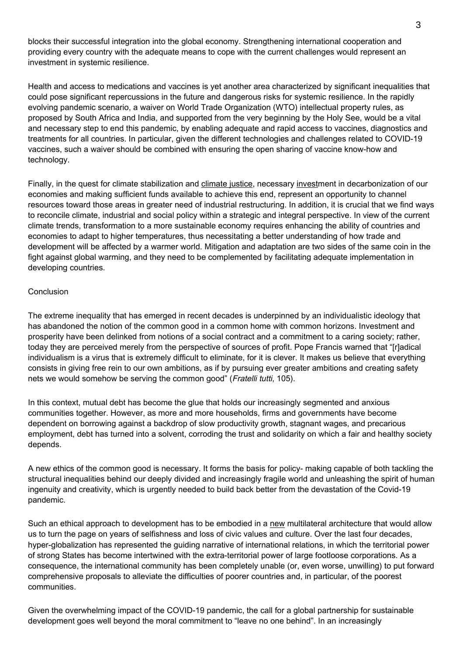blocks their successful integration into the global economy. Strengthening international cooperation and providing every country with the adequate means to cope with the current challenges would represent an investment in systemic resilience.

Health and access to medications and vaccines is yet another area characterized by significant inequalities that could pose significant repercussions in the future and dangerous risks for systemic resilience. In the rapidly evolving pandemic scenario, a waiver on World Trade Organization (WTO) intellectual property rules, as proposed by South Africa and India, and supported from the very beginning by the Holy See, would be a vital and necessary step to end this pandemic, by enabling adequate and rapid access to vaccines, diagnostics and treatments for all countries. In particular, given the different technologies and challenges related to COVID-19 vaccines, such a waiver should be combined with ensuring the open sharing of vaccine know-how and technology.

Finally, in the quest for climate stabilization and [climate justice,](https://www.ncronline.org/blogs/world/eco-catholic/laudato-si-putting-faith-frontline-climate-justice-fight) necessary [investm](https://unctad.org/webflyer/trade-and-development-report-2019)ent in decarbonization of our economies and making sufficient funds available to achieve this end, represent an opportunity to channel resources toward those areas in greater need of industrial restructuring. In addition, it is crucial that we find ways to reconcile climate, industrial and social policy within a strategic and integral perspective. In view of the current climate trends, transformation to a more sustainable economy requires enhancing the ability of countries and economies to adapt to higher temperatures, thus necessitating a better understanding of how trade and development will be affected by a warmer world. Mitigation and adaptation are two sides of the same coin in the fight against global warming, and they need to be complemented by facilitating adequate implementation in developing countries.

## Conclusion

The extreme inequality that has emerged in recent decades is underpinned by an individualistic ideology that has abandoned the notion of the common good in a common home with common horizons. Investment and prosperity have been delinked from notions of a social contract and a commitment to a caring society; rather, today they are perceived merely from the perspective of sources of profit. Pope Francis warned that "[r]adical individualism is a virus that is extremely difficult to eliminate, for it is clever. It makes us believe that everything consists in giving free rein to our own ambitions, as if by pursuing ever greater ambitions and creating safety nets we would somehow be serving the common good" (Fratelli tutti, 105).

In this context, mutual debt has become the glue that holds our increasingly segmented and anxious communities together. However, as more and more households, firms and governments have become dependent on borrowing against a backdrop of slow productivity growth, stagnant wages, and precarious employment, debt has turned into a solvent, corroding the trust and solidarity on which a fair and healthy society depends.

A new ethics of the common good is necessary. It forms the basis for policy- making capable of both tackling the structural inequalities behind our deeply divided and increasingly fragile world and unleashing the spirit of human ingenuity and creativity, which is urgently needed to build back better from the devastation of the Covid-19 pandemic.

Such an ethical approach to development has to be embodied in a [new](https://unctad.org/webflyer/new-multilateralism-shared-prosperity-geneva-principles-global-green-new-deal) multilateral architecture that would allow us to turn the page on years of selfishness and loss of civic values and culture. Over the last four decades, hyper-globalization has represented the guiding narrative of international relations, in which the territorial power of strong States has become intertwined with the extra-territorial power of large footloose corporations. As a consequence, the international community has been completely unable (or, even worse, unwilling) to put forward comprehensive proposals to alleviate the difficulties of poorer countries and, in particular, of the poorest communities.

Given the overwhelming impact of the COVID-19 pandemic, the call for a global partnership for sustainable development goes well beyond the moral commitment to "leave no one behind". In an increasingly